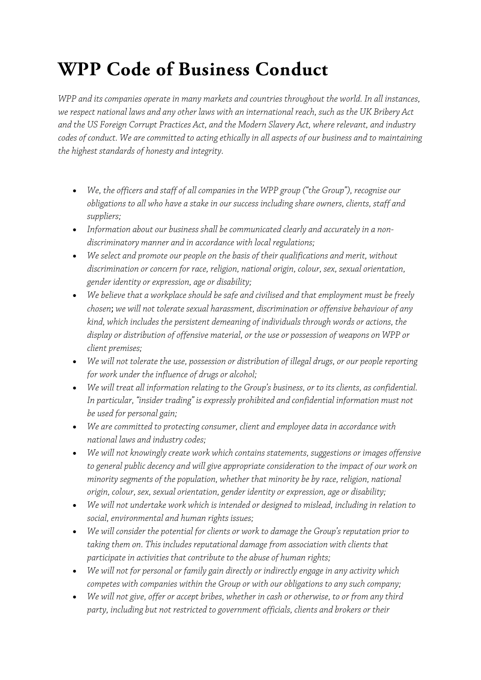## **WPP Code of Business Conduct**

*WPP and its companies operate in many markets and countries throughout the world. In all instances, we respect national laws and any other laws with an international reach, such as the UK Bribery Act and the US Foreign Corrupt Practices Act, and the Modern Slavery Act, where relevant, and industry codes of conduct. We are committed to acting ethically in all aspects of our business and to maintaining the highest standards of honesty and integrity.* 

- *We, the officers and staff of all companies in the WPP group ("the Group"), recognise our obligations to all who have a stake in our success including share owners, clients, staff and suppliers;*
- *Information about our business shall be communicated clearly and accurately in a nondiscriminatory manner and in accordance with local regulations;*
- *We select and promote our people on the basis of their qualifications and merit, without discrimination or concern for race, religion, national origin, colour, sex, sexual orientation, gender identity or expression, age or disability;*
- *We believe that a workplace should be safe and civilised and that employment must be freely chosen*; *we will not tolerate sexual harassment, discrimination or offensive behaviour of any kind, which includes the persistent demeaning of individuals through words or actions, the display or distribution of offensive material, or the use or possession of weapons on WPP or client premises;*
- *We will not tolerate the use, possession or distribution of illegal drugs, or our people reporting for work under the influence of drugs or alcohol;*
- *We will treat all information relating to the Group's business, or to its clients, as confidential. In particular, "insider trading" is expressly prohibited and confidential information must not be used for personal gain;*
- *We are committed to protecting consumer, client and employee data in accordance with national laws and industry codes;*
- *We will not knowingly create work which contains statements, suggestions or images offensive to general public decency and will give appropriate consideration to the impact of our work on minority segments of the population, whether that minority be by race, religion, national origin, colour, sex, sexual orientation, gender identity or expression, age or disability;*
- *We will not undertake work which is intended or designed to mislead, including in relation to social, environmental and human rights issues;*
- *We will consider the potential for clients or work to damage the Group's reputation prior to taking them on. This includes reputational damage from association with clients that participate in activities that contribute to the abuse of human rights;*
- *We will not for personal or family gain directly or indirectly engage in any activity which competes with companies within the Group or with our obligations to any such company;*
- *We will not give, offer or accept bribes, whether in cash or otherwise, to or from any third party, including but not restricted to government officials, clients and brokers or their*